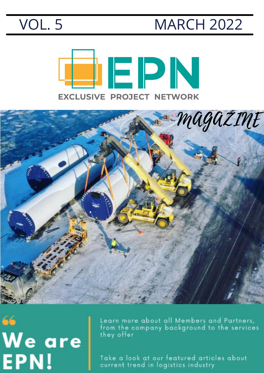#### VOL. 5 MARCH 2022





## 66 We are EPN!

Learn more about all Members and Partners, from the company background to the services they offer

Take a look at our featured articles about current trend in logistics industry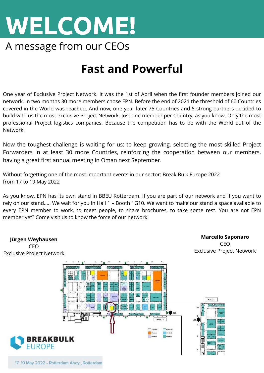

#### **Fast and Powerful**

One year of Exclusive Project Network. It was the 1st of April when the first founder members joined our network. In two months 30 more members chose EPN. Before the end of 2021 the threshold of 60 Countries covered in the World was reached. And now, one year later 75 Countries and 5 strong partners decided to build with us the most exclusive Project Network. Just one member per Country, as you know. Only the most professional Project logistics companies. Because the competition has to be with the World out of the Network.

Now the toughest challenge is waiting for us: to keep growing, selecting the most skilled Project Forwarders in at least 30 more Countries, reinforcing the cooperation between our members, having a great first annual meeting in Oman next September.

Without forgetting one of the most important events in our sector: Break Bulk Europe 2022 from 17 to 19 May 2022

As you know,EPN has its own stand in BBEU Rotterdam. If you are part of our network and if you want to rely on our stand….! We wait for you in Hall 1 – Booth 1G10. We want to make our stand a space available to every EPN member to work, to meet people, to share brochures, to take some rest. You are not EPN member yet? Come visit us to know the force of our network!

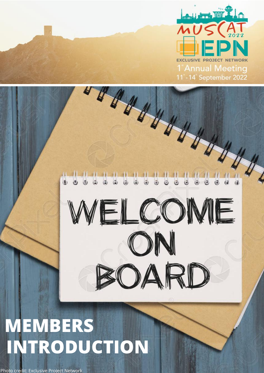

WELCOME

ON

30ARD

# **MEMBERS INTRODUCTION**

Photo credit: Exclusive Project Network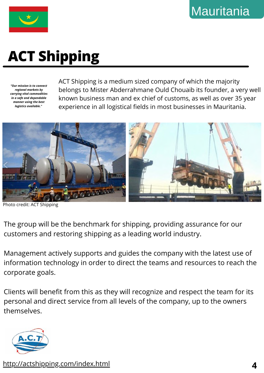

## **ACT Shipping**

*"Our mission is to connect regional markets by carrying vital commodities in a safe and dependable manner using the best logistics available."*

ACT Shipping is a medium sized company of which the majority belongs to Mister Abderrahmane Ould Chouaib its founder, a very well known business man and ex chief of customs, as well as over 35 year experience in all logistical fields in most businesses in Mauritania.



Photo credit: ACT Shipping

The group will be the benchmark for shipping, providing assurance for our customers and restoring shipping as a leading world industry.

Management actively supports and guides the company with the latest use of information technology in order to direct the teams and resources to reach the corporate goals.

Clients will benefit from this as they will recognize and respect the team for its personal and direct service from all levels of the company, up to the owners themselves.



http://actshipping.com/index.html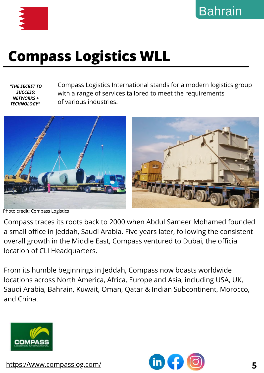

#### **Compass Logistics WLL**

*"THE SECRET TO SUCCESS: NETWORKS + TECHNOLOGY"*

Compass Logistics International stands for a modern logistics group with a range of services tailored to meet the requirements of various industries.



Photo credit: Compass Logistics

Compass traces its roots back to 2000 when Abdul Sameer Mohamed founded a small office in Jeddah, Saudi Arabia. Five years later, following the consistent overall growth in the Middle East, Compass ventured to Dubai, the official location of CLI Headquarters.

From its humble beginnings in Jeddah, Compass now boasts worldwide locations across North America, Africa, Europe and Asia, including USA, UK, Saudi Arabia, Bahrain, Kuwait, Oman, Qatar & Indian Subcontinent, Morocco, and China.



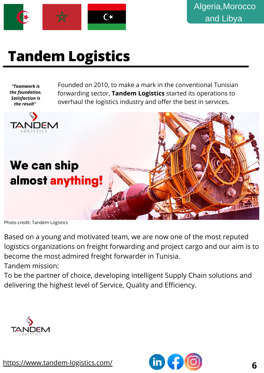

### **Tandem Logistics**

*"Teamwork is the foundation. Satisfaction is the result"*

Founded on 2010, to make a mark in the conventional Tunisian forwarding sector, **Tandem Logistics** started its operations to overhaul the logistics industry and offer the best in services.



Photo credit: Tandem Logistics

Based on a young and motivated team, we are now one of the most reputed logistics organizations on freight forwarding and project cargo and our aim is to become the most admired freight forwarder in Tunisia. Tandem mission:

To be the partner of choice, developing intelligent Supply Chain solutions and delivering the highest level of Service, Quality and Efficiency.



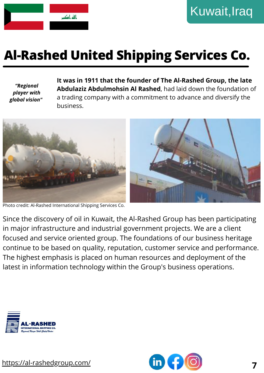

#### **Al-Rashed United Shipping Services Co.**

*"Regional player with global vision"* **It was in 1911 that the founder of The Al-Rashed Group, the late Abdulaziz Abdulmohsin Al Rashed**, had laid down the foundation of a trading company with a commitment to advance and diversify the business.



Photo credit: Al-Rashed International Shipping Services Co.

Since the discovery of oil in Kuwait, the Al-Rashed Group has been participating in major infrastructure and industrial government projects. We are a client focused and service oriented group. The foundations of our business heritage continue to be based on quality, reputation, customer service and performance. The highest emphasis is placed on human resources and deployment of the latest in information technology within the Group's business operations.



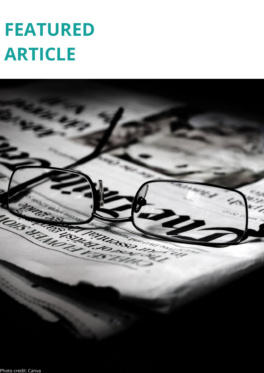# **FEATURED ARTICLE**

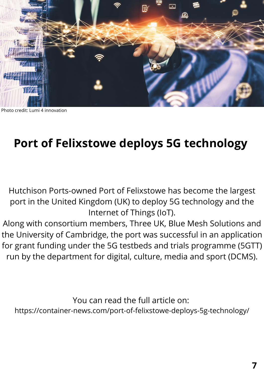

Photo credit: Lumi 4 innovation

#### **Port of Felixstowe deploys 5G technology**

Hutchison Ports-owned Port of Felixstowe has become the largest port in the United Kingdom (UK) to deploy 5G technology and the Internet of Things (IoT).

Along with consortium members, Three UK, Blue Mesh Solutions and the University of Cambridge, the port was successful in an application for grant funding under the 5G testbeds and trials programme (5GTT) run by the department for digital, culture, media and sport (DCMS).

You can read the full article on:

https://container-news.com/port-of-felixstowe-deploys-5g-technology/